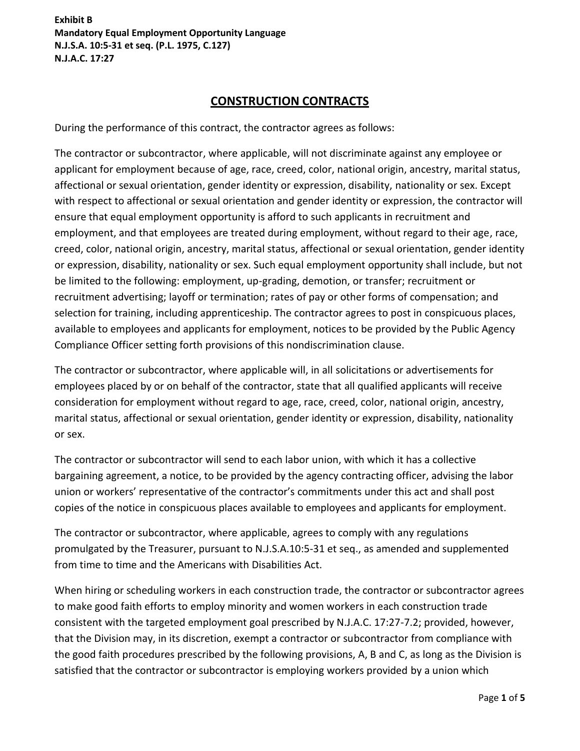# **CONSTRUCTION CONTRACTS**

During the performance of this contract, the contractor agrees as follows:

The contractor or subcontractor, where applicable, will not discriminate against any employee or applicant for employment because of age, race, creed, color, national origin, ancestry, marital status, affectional or sexual orientation, gender identity or expression, disability, nationality or sex. Except with respect to affectional or sexual orientation and gender identity or expression, the contractor will ensure that equal employment opportunity is afford to such applicants in recruitment and employment, and that employees are treated during employment, without regard to their age, race, creed, color, national origin, ancestry, marital status, affectional or sexual orientation, gender identity or expression, disability, nationality or sex. Such equal employment opportunity shall include, but not be limited to the following: employment, up-grading, demotion, or transfer; recruitment or recruitment advertising; layoff or termination; rates of pay or other forms of compensation; and selection for training, including apprenticeship. The contractor agrees to post in conspicuous places, available to employees and applicants for employment, notices to be provided by the Public Agency Compliance Officer setting forth provisions of this nondiscrimination clause.

The contractor or subcontractor, where applicable will, in all solicitations or advertisements for employees placed by or on behalf of the contractor, state that all qualified applicants will receive consideration for employment without regard to age, race, creed, color, national origin, ancestry, marital status, affectional or sexual orientation, gender identity or expression, disability, nationality or sex.

The contractor or subcontractor will send to each labor union, with which it has a collective bargaining agreement, a notice, to be provided by the agency contracting officer, advising the labor union or workers' representative of the contractor's commitments under this act and shall post copies of the notice in conspicuous places available to employees and applicants for employment.

The contractor or subcontractor, where applicable, agrees to comply with any regulations promulgated by the Treasurer, pursuant to N.J.S.A.10:5-31 et seq., as amended and supplemented from time to time and the Americans with Disabilities Act.

When hiring or scheduling workers in each construction trade, the contractor or subcontractor agrees to make good faith efforts to employ minority and women workers in each construction trade consistent with the targeted employment goal prescribed by N.J.A.C. 17:27-7.2; provided, however, that the Division may, in its discretion, exempt a contractor or subcontractor from compliance with the good faith procedures prescribed by the following provisions, A, B and C, as long as the Division is satisfied that the contractor or subcontractor is employing workers provided by a union which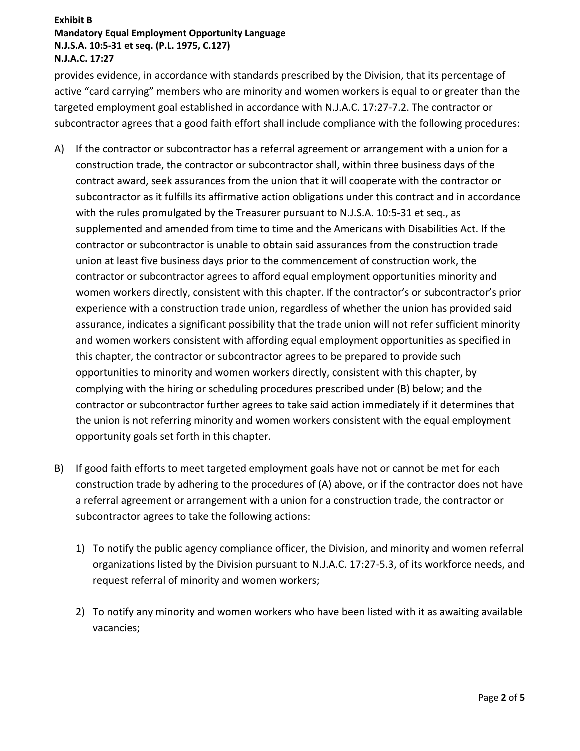provides evidence, in accordance with standards prescribed by the Division, that its percentage of active "card carrying" members who are minority and women workers is equal to or greater than the targeted employment goal established in accordance with N.J.A.C. 17:27-7.2. The contractor or subcontractor agrees that a good faith effort shall include compliance with the following procedures:

- A) If the contractor or subcontractor has a referral agreement or arrangement with a union for a construction trade, the contractor or subcontractor shall, within three business days of the contract award, seek assurances from the union that it will cooperate with the contractor or subcontractor as it fulfills its affirmative action obligations under this contract and in accordance with the rules promulgated by the Treasurer pursuant to N.J.S.A. 10:5-31 et seq., as supplemented and amended from time to time and the Americans with Disabilities Act. If the contractor or subcontractor is unable to obtain said assurances from the construction trade union at least five business days prior to the commencement of construction work, the contractor or subcontractor agrees to afford equal employment opportunities minority and women workers directly, consistent with this chapter. If the contractor's or subcontractor's prior experience with a construction trade union, regardless of whether the union has provided said assurance, indicates a significant possibility that the trade union will not refer sufficient minority and women workers consistent with affording equal employment opportunities as specified in this chapter, the contractor or subcontractor agrees to be prepared to provide such opportunities to minority and women workers directly, consistent with this chapter, by complying with the hiring or scheduling procedures prescribed under (B) below; and the contractor or subcontractor further agrees to take said action immediately if it determines that the union is not referring minority and women workers consistent with the equal employment opportunity goals set forth in this chapter.
- B) If good faith efforts to meet targeted employment goals have not or cannot be met for each construction trade by adhering to the procedures of (A) above, or if the contractor does not have a referral agreement or arrangement with a union for a construction trade, the contractor or subcontractor agrees to take the following actions:
	- 1) To notify the public agency compliance officer, the Division, and minority and women referral organizations listed by the Division pursuant to N.J.A.C. 17:27-5.3, of its workforce needs, and request referral of minority and women workers;
	- 2) To notify any minority and women workers who have been listed with it as awaiting available vacancies;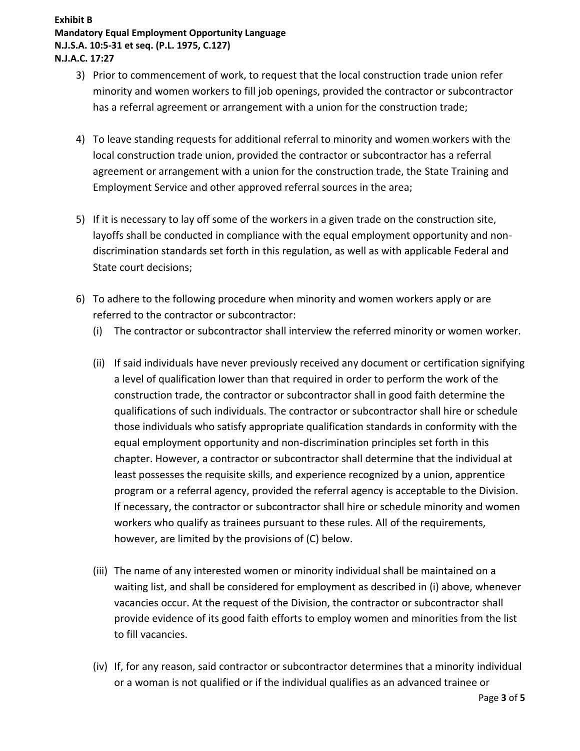- 3) Prior to commencement of work, to request that the local construction trade union refer minority and women workers to fill job openings, provided the contractor or subcontractor has a referral agreement or arrangement with a union for the construction trade;
- 4) To leave standing requests for additional referral to minority and women workers with the local construction trade union, provided the contractor or subcontractor has a referral agreement or arrangement with a union for the construction trade, the State Training and Employment Service and other approved referral sources in the area;
- 5) If it is necessary to lay off some of the workers in a given trade on the construction site, layoffs shall be conducted in compliance with the equal employment opportunity and nondiscrimination standards set forth in this regulation, as well as with applicable Federal and State court decisions;
- 6) To adhere to the following procedure when minority and women workers apply or are referred to the contractor or subcontractor:
	- (i) The contractor or subcontractor shall interview the referred minority or women worker.
	- (ii) If said individuals have never previously received any document or certification signifying a level of qualification lower than that required in order to perform the work of the construction trade, the contractor or subcontractor shall in good faith determine the qualifications of such individuals. The contractor or subcontractor shall hire or schedule those individuals who satisfy appropriate qualification standards in conformity with the equal employment opportunity and non-discrimination principles set forth in this chapter. However, a contractor or subcontractor shall determine that the individual at least possesses the requisite skills, and experience recognized by a union, apprentice program or a referral agency, provided the referral agency is acceptable to the Division. If necessary, the contractor or subcontractor shall hire or schedule minority and women workers who qualify as trainees pursuant to these rules. All of the requirements, however, are limited by the provisions of (C) below.
	- (iii) The name of any interested women or minority individual shall be maintained on a waiting list, and shall be considered for employment as described in (i) above, whenever vacancies occur. At the request of the Division, the contractor or subcontractor shall provide evidence of its good faith efforts to employ women and minorities from the list to fill vacancies.
	- (iv) If, for any reason, said contractor or subcontractor determines that a minority individual or a woman is not qualified or if the individual qualifies as an advanced trainee or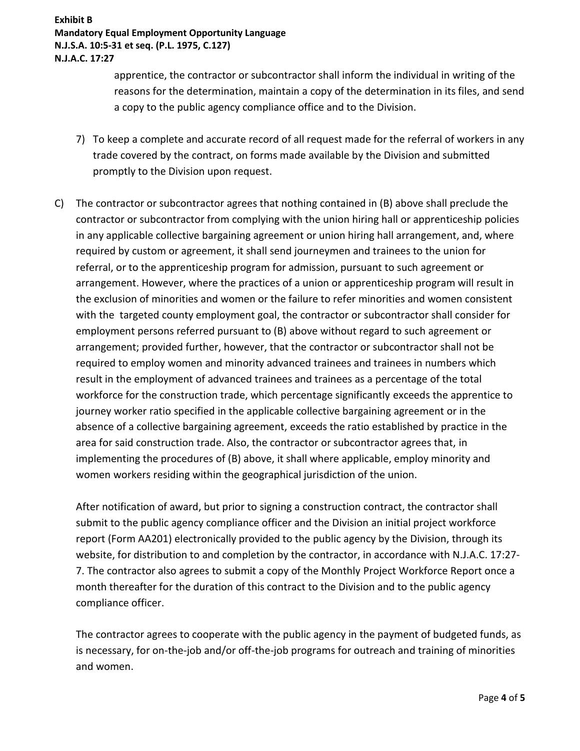apprentice, the contractor or subcontractor shall inform the individual in writing of the reasons for the determination, maintain a copy of the determination in its files, and send a copy to the public agency compliance office and to the Division.

- 7) To keep a complete and accurate record of all request made for the referral of workers in any trade covered by the contract, on forms made available by the Division and submitted promptly to the Division upon request.
- C) The contractor or subcontractor agrees that nothing contained in (B) above shall preclude the contractor or subcontractor from complying with the union hiring hall or apprenticeship policies in any applicable collective bargaining agreement or union hiring hall arrangement, and, where required by custom or agreement, it shall send journeymen and trainees to the union for referral, or to the apprenticeship program for admission, pursuant to such agreement or arrangement. However, where the practices of a union or apprenticeship program will result in the exclusion of minorities and women or the failure to refer minorities and women consistent with the targeted county employment goal, the contractor or subcontractor shall consider for employment persons referred pursuant to (B) above without regard to such agreement or arrangement; provided further, however, that the contractor or subcontractor shall not be required to employ women and minority advanced trainees and trainees in numbers which result in the employment of advanced trainees and trainees as a percentage of the total workforce for the construction trade, which percentage significantly exceeds the apprentice to journey worker ratio specified in the applicable collective bargaining agreement or in the absence of a collective bargaining agreement, exceeds the ratio established by practice in the area for said construction trade. Also, the contractor or subcontractor agrees that, in implementing the procedures of (B) above, it shall where applicable, employ minority and women workers residing within the geographical jurisdiction of the union.

After notification of award, but prior to signing a construction contract, the contractor shall submit to the public agency compliance officer and the Division an initial project workforce report (Form AA201) electronically provided to the public agency by the Division, through its website, for distribution to and completion by the contractor, in accordance with N.J.A.C. 17:27- 7. The contractor also agrees to submit a copy of the Monthly Project Workforce Report once a month thereafter for the duration of this contract to the Division and to the public agency compliance officer.

The contractor agrees to cooperate with the public agency in the payment of budgeted funds, as is necessary, for on-the-job and/or off-the-job programs for outreach and training of minorities and women.